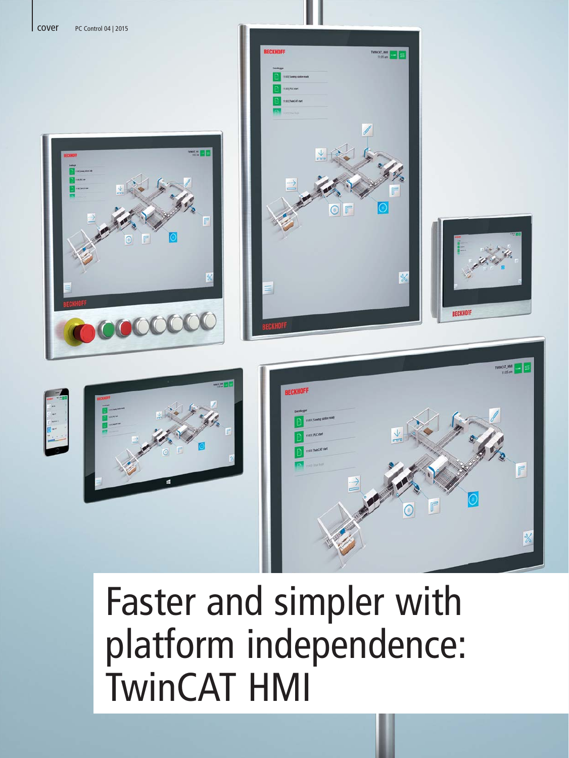













# Faster and simpler with platform independence: TwinCAT HMI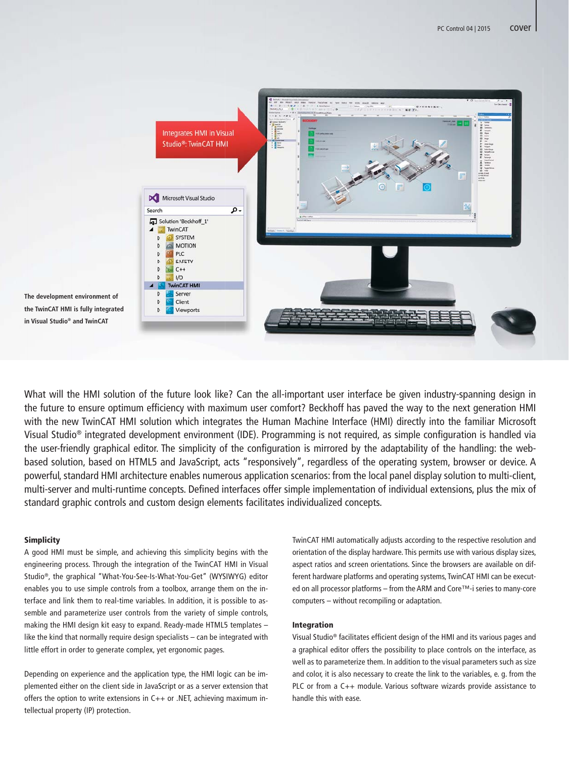

**The development environment of the TwinCAT HMI is fully integrated in Visual Studio® and TwinCAT**

What will the HMI solution of the future look like? Can the all-important user interface be given industry-spanning design in the future to ensure optimum efficiency with maximum user comfort? Beckhoff has paved the way to the next generation HMI with the new TwinCAT HMI solution which integrates the Human Machine Interface (HMI) directly into the familiar Microsoft Visual Studio® integrated development environment (IDE). Programming is not required, as simple configuration is handled via the user-friendly graphical editor. The simplicity of the configuration is mirrored by the adaptability of the handling: the webbased solution, based on HTML5 and JavaScript, acts "responsively", regardless of the operating system, browser or device. A powerful, standard HMI architecture enables numerous application scenarios: from the local panel display solution to multi-client, multi-server and multi-runtime concepts. Defined interfaces offer simple implementation of individual extensions, plus the mix of standard graphic controls and custom design elements facilitates individualized concepts.

#### **Simplicity**

A good HMI must be simple, and achieving this simplicity begins with the engineering process. Through the integration of the TwinCAT HMI in Visual Studio®, the graphical "What-You-See-Is-What-You-Get" (WYSIWYG) editor enables you to use simple controls from a toolbox, arrange them on the interface and link them to real-time variables. In addition, it is possible to assemble and parameterize user controls from the variety of simple controls, making the HMI design kit easy to expand. Ready-made HTML5 templates – like the kind that normally require design specialists – can be integrated with little effort in order to generate complex, yet ergonomic pages.

Depending on experience and the application type, the HMI logic can be implemented either on the client side in JavaScript or as a server extension that offers the option to write extensions in C++ or .NET, achieving maximum intellectual property (IP) protection.

TwinCAT HMI automatically adjusts according to the respective resolution and orientation of the display hardware. This permits use with various display sizes, aspect ratios and screen orientations. Since the browsers are available on different hardware platforms and operating systems, TwinCAT HMI can be executed on all processor platforms – from the ARM and Core™-i series to many-core computers – without recompiling or adaptation.

#### Integration

Visual Studio® facilitates efficient design of the HMI and its various pages and a graphical editor offers the possibility to place controls on the interface, as well as to parameterize them. In addition to the visual parameters such as size and color, it is also necessary to create the link to the variables, e. g. from the PLC or from a C++ module. Various software wizards provide assistance to handle this with ease.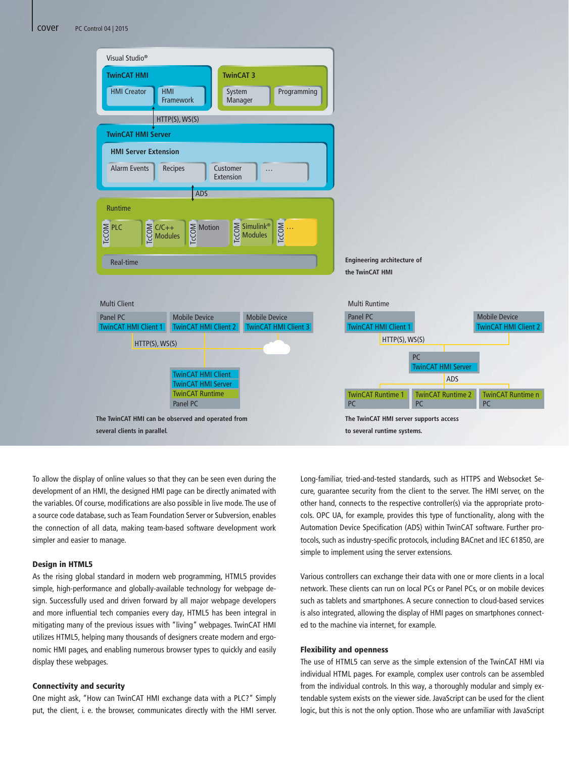

To allow the display of online values so that they can be seen even during the development of an HMI, the designed HMI page can be directly animated with the variables. Of course, modifications are also possible in live mode. The use of a source code database, such as Team Foundation Server or Subversion, enables the connection of all data, making team-based software development work simpler and easier to manage.

### Design in HTML5

As the rising global standard in modern web programming, HTML5 provides simple, high-performance and globally-available technology for webpage design. Successfully used and driven forward by all major webpage developers and more influential tech companies every day, HTML5 has been integral in mitigating many of the previous issues with "living" webpages. TwinCAT HMI utilizes HTML5, helping many thousands of designers create modern and ergonomic HMI pages, and enabling numerous browser types to quickly and easily display these webpages.

#### Connectivity and security

One might ask, "How can TwinCAT HMI exchange data with a PLC?" Simply put, the client, i. e. the browser, communicates directly with the HMI server. Long-familiar, tried-and-tested standards, such as HTTPS and Websocket Secure, guarantee security from the client to the server. The HMI server, on the other hand, connects to the respective controller(s) via the appropriate protocols. OPC UA, for example, provides this type of functionality, along with the Automation Device Specification (ADS) within TwinCAT software. Further protocols, such as industry-specific protocols, including BACnet and IEC 61850, are simple to implement using the server extensions.

Various controllers can exchange their data with one or more clients in a local network. These clients can run on local PCs or Panel PCs, or on mobile devices such as tablets and smartphones. A secure connection to cloud-based services is also integrated, allowing the display of HMI pages on smartphones connected to the machine via internet, for example.

# Flexibility and openness

The use of HTML5 can serve as the simple extension of the TwinCAT HMI via individual HTML pages. For example, complex user controls can be assembled from the individual controls. In this way, a thoroughly modular and simply extendable system exists on the viewer side. JavaScript can be used for the client logic, but this is not the only option. Those who are unfamiliar with JavaScript